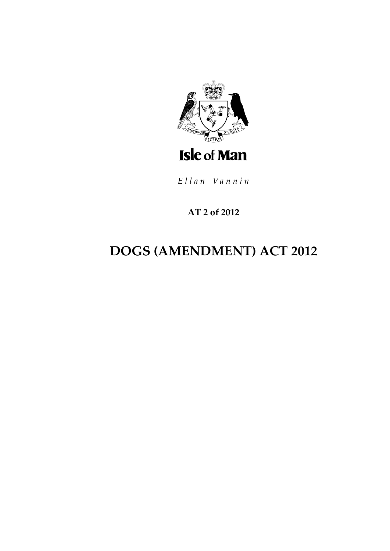

Ellan Vannin

### AT 2 of 2012

# **DOGS (AMENDMENT) ACT 2012**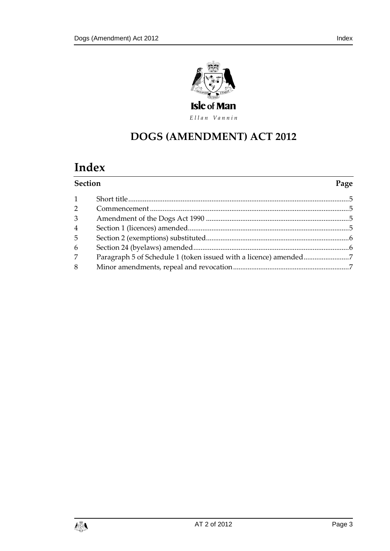

Ellan Vannin

### **DOGS (AMENDMENT) ACT 2012**

## **Index**

| <b>Section</b> |  | Page |
|----------------|--|------|
| $\mathbf{1}$   |  |      |
| $\overline{2}$ |  |      |
| 3              |  |      |
| 4              |  |      |
| 5              |  |      |
| 6              |  |      |
| 7              |  |      |
| 8              |  |      |
|                |  |      |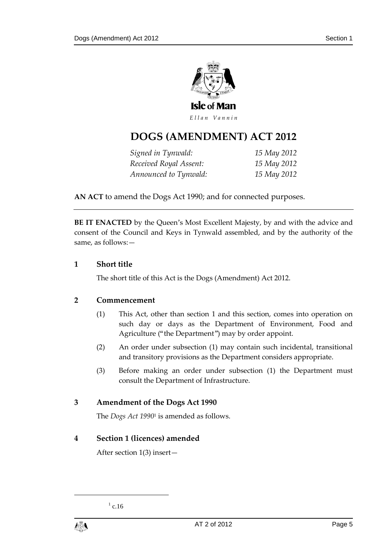

### **DOGS (AMENDMENT) ACT 2012**

| Signed in Tynwald:     | 15 May 2012 |
|------------------------|-------------|
| Received Royal Assent: | 15 May 2012 |
| Announced to Tynwald:  | 15 May 2012 |

**AN ACT** to amend the Dogs Act 1990; and for connected purposes.

**BE IT ENACTED** by the Queen's Most Excellent Majesty, by and with the advice and consent of the Council and Keys in Tynwald assembled, and by the authority of the same, as follows:—

#### <span id="page-4-0"></span>**1 Short title**

The short title of this Act is the Dogs (Amendment) Act 2012.

#### <span id="page-4-1"></span>**2 Commencement**

- (1) This Act, other than section 1 and this section, comes into operation on such day or days as the Department of Environment, Food and Agriculture ("the Department") may by order appoint.
- (2) An order under subsection (1) may contain such incidental, transitional and transitory provisions as the Department considers appropriate.
- (3) Before making an order under subsection (1) the Department must consult the Department of Infrastructure.

#### <span id="page-4-2"></span>**3 Amendment of the Dogs Act 1990**

The *Dogs Act 1990*<sup>1</sup> is amended as follows.

#### <span id="page-4-3"></span>**4 Section 1 (licences) amended**

After section 1(3) insert—

 $^{1}$  c.16



1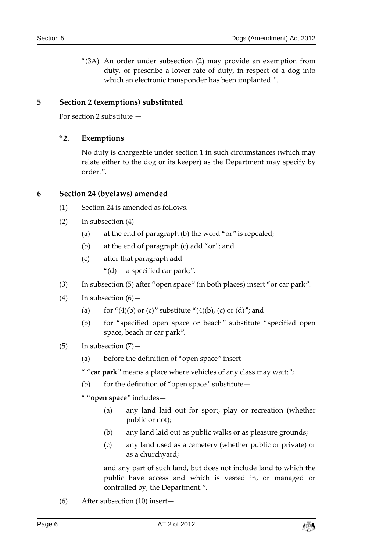"(3A) An order under subsection (2) may provide an exemption from duty, or prescribe a lower rate of duty, in respect of a dog into which an electronic transponder has been implanted.".

#### <span id="page-5-0"></span>**5 Section 2 (exemptions) substituted**

For section 2 substitute **—**

#### **"2. Exemptions**

No duty is chargeable under section 1 in such circumstances (which may relate either to the dog or its keeper) as the Department may specify by order.".

#### <span id="page-5-1"></span>**6 Section 24 (byelaws) amended**

- (1) Section 24 is amended as follows.
- (2) In subsection  $(4)$  -
	- (a) at the end of paragraph (b) the word "or" is repealed;
	- (b) at the end of paragraph (c) add "or"; and
	- (c) after that paragraph add—  $\left| \begin{array}{cc} u'_{1}(d) & a \text{ specified car park}; \end{array} \right|$
- (3) In subsection (5) after "open space" (in both places) insert "or car park".
- $(4)$  In subsection  $(6)$  -
	- (a) for "(4)(b) or (c)" substitute "(4)(b), (c) or (d)"; and
	- (b) for "specified open space or beach" substitute "specified open space, beach or car park".
- $(5)$  In subsection  $(7)$ 
	- (a) before the definition of "open space" insert—
	- " "**car park**" means a place where vehicles of any class may wait;";
	- (b) for the definition of "open space" substitute  $-$
	- " "**open space**" includes—
		- (a) any land laid out for sport, play or recreation (whether public or not);
		- (b) any land laid out as public walks or as pleasure grounds;
		- (c) any land used as a cemetery (whether public or private) or as a churchyard;

and any part of such land, but does not include land to which the public have access and which is vested in, or managed or controlled by, the Department.".

(6) After subsection (10) insert—